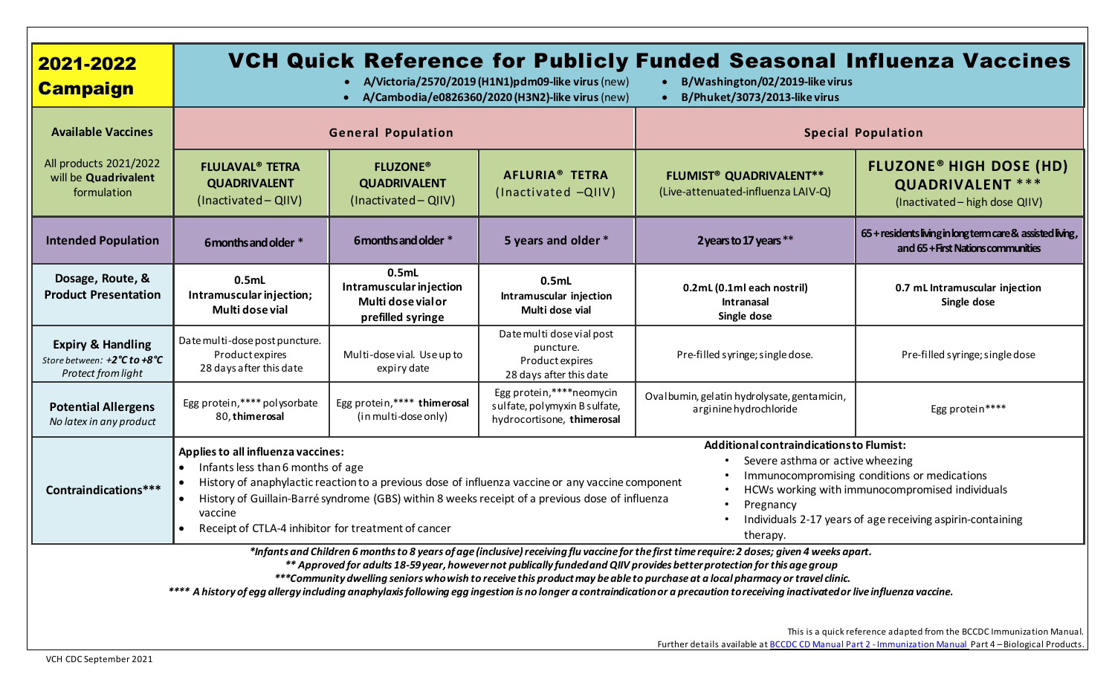| 2021-2022<br><b>Campaign</b>                                                                                                                                                                                                                                                                                                                                                                                                                                                                                                                                                              | VCH Quick Reference for Publicly Funded Seasonal Influenza Vaccines<br>A/Victoria/2570/2019 (H1N1)pdm09-like virus (new)<br>B/Washington/02/2019-like virus<br>A/Cambodia/e0826360/2020 (H3N2)-like virus (new)<br>B/Phuket/3073/2013-like virus                                                                                                                                                                                                                                                                                                                                                                                         |                                                                                         |                                                                                         |                                                                                 |                                                                                                        |  |
|-------------------------------------------------------------------------------------------------------------------------------------------------------------------------------------------------------------------------------------------------------------------------------------------------------------------------------------------------------------------------------------------------------------------------------------------------------------------------------------------------------------------------------------------------------------------------------------------|------------------------------------------------------------------------------------------------------------------------------------------------------------------------------------------------------------------------------------------------------------------------------------------------------------------------------------------------------------------------------------------------------------------------------------------------------------------------------------------------------------------------------------------------------------------------------------------------------------------------------------------|-----------------------------------------------------------------------------------------|-----------------------------------------------------------------------------------------|---------------------------------------------------------------------------------|--------------------------------------------------------------------------------------------------------|--|
| <b>Available Vaccines</b>                                                                                                                                                                                                                                                                                                                                                                                                                                                                                                                                                                 | <b>General Population</b>                                                                                                                                                                                                                                                                                                                                                                                                                                                                                                                                                                                                                |                                                                                         |                                                                                         | <b>Special Population</b>                                                       |                                                                                                        |  |
| All products 2021/2022<br>will be Quadrivalent<br>formulation                                                                                                                                                                                                                                                                                                                                                                                                                                                                                                                             | <b>FLULAVAL<sup>®</sup> TETRA</b><br><b>QUADRIVALENT</b><br>(Inactivated - QIIV)                                                                                                                                                                                                                                                                                                                                                                                                                                                                                                                                                         | <b>FLUZONE®</b><br><b>QUADRIVALENT</b><br>(Inactivated - QIIV)                          | <b>AFLURIA® TETRA</b><br>(Inactivated -QIIV)                                            | <b>FLUMIST<sup>®</sup> QUADRIVALENT**</b><br>(Live-attenuated-influenza LAIV-Q) | <b>FLUZONE<sup>®</sup> HIGH DOSE (HD)</b><br><b>QUADRIVALENT ***</b><br>(Inactivated - high dose QIIV) |  |
| <b>Intended Population</b>                                                                                                                                                                                                                                                                                                                                                                                                                                                                                                                                                                | 6 months and older *                                                                                                                                                                                                                                                                                                                                                                                                                                                                                                                                                                                                                     | 6 months and older *                                                                    | 5 years and older *                                                                     | 2 years to 17 years **                                                          | 65 + residents living in long term care & assisted living,<br>and 65 + First Nations communities       |  |
| Dosage, Route, &<br><b>Product Presentation</b>                                                                                                                                                                                                                                                                                                                                                                                                                                                                                                                                           | 0.5mL<br>Intramuscular injection;<br>Multi dose vial                                                                                                                                                                                                                                                                                                                                                                                                                                                                                                                                                                                     | 0.5 <sub>ml</sub><br>Intramuscular injection<br>Multi dose vial or<br>prefilled syringe | 0.5mL<br>Intramuscular injection<br>Multi dose vial                                     | 0.2mL (0.1ml each nostril)<br><b>Intranasal</b><br>Single dose                  | 0.7 mL Intramuscular injection<br>Single dose                                                          |  |
| <b>Expiry &amp; Handling</b><br>Store between: +2°C to +8°C<br>Protect from light                                                                                                                                                                                                                                                                                                                                                                                                                                                                                                         | Date multi-dose post puncture.<br>Product expires<br>28 days after this date                                                                                                                                                                                                                                                                                                                                                                                                                                                                                                                                                             | Multi-dose vial. Use up to<br>expiry date                                               | Date multi dose vial post<br>puncture.<br>Product expires<br>28 days after this date    | Pre-filled syringe; single dose.                                                | Pre-filled syringe; single dose                                                                        |  |
| <b>Potential Allergens</b><br>No latex in any product                                                                                                                                                                                                                                                                                                                                                                                                                                                                                                                                     | Egg protein,**** polysorbate<br>80, thimerosal                                                                                                                                                                                                                                                                                                                                                                                                                                                                                                                                                                                           | Egg protein, **** thimerosal<br>(in multi-dose only)                                    | Egg protein,****neomycin<br>sulfate, polymyxin B sulfate,<br>hydrocortisone, thimerosal | Ovalbumin, gelatin hydrolysate, gentamicin,<br>arginine hydrochloride           | Egg protein****                                                                                        |  |
| Contraindications***                                                                                                                                                                                                                                                                                                                                                                                                                                                                                                                                                                      | Additional contraindications to Flumist:<br>Applies to all influenza vaccines:<br>Severe asthma or active wheezing<br>Infants less than 6 months of age<br>Immunocompromising conditions or medications<br>History of anaphylactic reaction to a previous dose of influenza vaccine or any vaccine component<br>HCWs working with immunocompromised individuals<br>History of Guillain-Barré syndrome (GBS) within 8 weeks receipt of a previous dose of influenza<br>Pregnancy<br>vaccine<br>Individuals 2-17 years of age receiving aspirin-containing<br>Receipt of CTLA-4 inhibitor for treatment of cancer<br>$\bullet$<br>therapy. |                                                                                         |                                                                                         |                                                                                 |                                                                                                        |  |
| *Infants and Children 6 months to 8 years of age (inclusive) receiving flu vaccine for the first time require: 2 doses; given 4 weeks apart.<br>** Approved for adults 18-59 year, howevernot publically funded and QIIV provides better protection for this age group<br>***Community dwelling seniors who wish to receive this product may be able to purchase at a local pharmacy or travel clinic.<br>**** A history of egg allergy including anaphylaxis following egg ingestion is no longer a contraindication or a precaution to receiving inactivated or live influenza vaccine. |                                                                                                                                                                                                                                                                                                                                                                                                                                                                                                                                                                                                                                          |                                                                                         |                                                                                         |                                                                                 |                                                                                                        |  |
| This is a quick reference adapted from the BCCDC Immunization Manual.<br>Further details available at <b>BCCDC CD Manual Part 2 - Immunization Manual</b> Part 4 - Biological Products.                                                                                                                                                                                                                                                                                                                                                                                                   |                                                                                                                                                                                                                                                                                                                                                                                                                                                                                                                                                                                                                                          |                                                                                         |                                                                                         |                                                                                 |                                                                                                        |  |